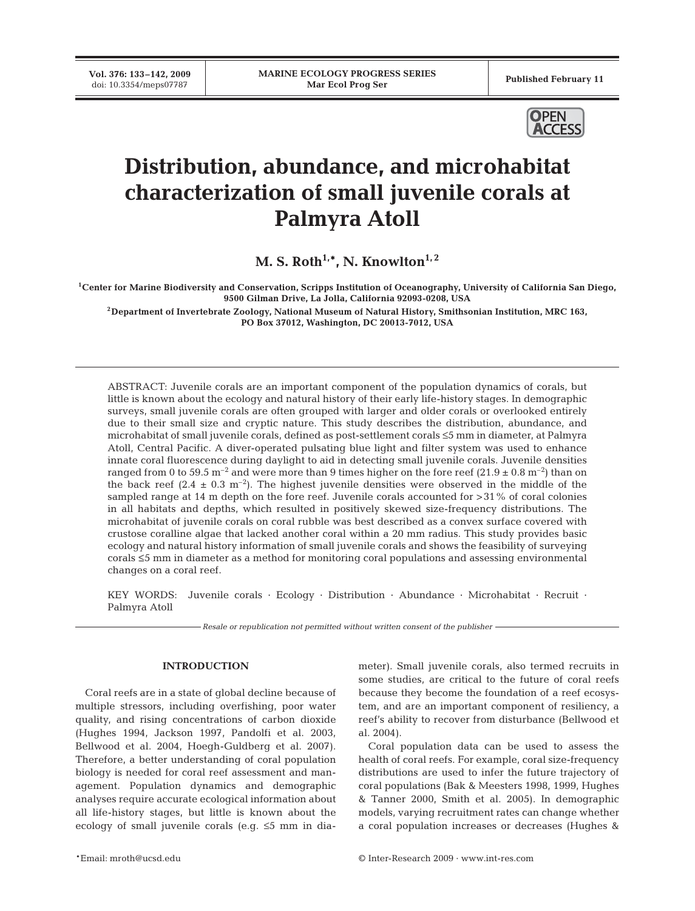**Vol. 376: 133–142, 2009**



# **Distribution, abundance, and microhabitat characterization of small juvenile corals at Palmyra Atoll**

**M. S. Roth<sup>1,\*</sup>, N. Knowlton**<sup>1,2</sup>

**1Center for Marine Biodiversity and Conservation, Scripps Institution of Oceanography, University of California San Diego, 9500 Gilman Drive, La Jolla, California 92093-0208, USA**

**2Department of Invertebrate Zoology, National Museum of Natural History, Smithsonian Institution, MRC 163, PO Box 37012, Washington, DC 20013-7012, USA**

ABSTRACT: Juvenile corals are an important component of the population dynamics of corals, but little is known about the ecology and natural history of their early life-history stages. In demographic surveys, small juvenile corals are often grouped with larger and older corals or overlooked entirely due to their small size and cryptic nature. This study describes the distribution, abundance, and microhabitat of small juvenile corals, defined as post-settlement corals ≤5 mm in diameter, at Palmyra Atoll, Central Pacific. A diver-operated pulsating blue light and filter system was used to enhance innate coral fluorescence during daylight to aid in detecting small juvenile corals. Juvenile densities ranged from 0 to 59.5  $\text{m}^{-2}$  and were more than 9 times higher on the fore reef (21.9  $\pm$  0.8  $\text{m}^{-2}$ ) than on the back reef  $(2.4 \pm 0.3 \text{ m}^{-2})$ . The highest juvenile densities were observed in the middle of the sampled range at 14 m depth on the fore reef. Juvenile corals accounted for >31% of coral colonies in all habitats and depths, which resulted in positively skewed size-frequency distributions. The microhabitat of juvenile corals on coral rubble was best described as a convex surface covered with crustose coralline algae that lacked another coral within a 20 mm radius. This study provides basic ecology and natural history information of small juvenile corals and shows the feasibility of surveying corals ≤5 mm in diameter as a method for monitoring coral populations and assessing environmental changes on a coral reef.

KEY WORDS: Juvenile corals · Ecology · Distribution · Abundance · Microhabitat · Recruit · Palmyra Atoll

*Resale or republication not permitted without written consent of the publisher*

#### **INTRODUCTION**

Coral reefs are in a state of global decline because of multiple stressors, including overfishing, poor water quality, and rising concentrations of carbon dioxide (Hughes 1994, Jackson 1997, Pandolfi et al. 2003, Bellwood et al. 2004, Hoegh-Guldberg et al. 2007). Therefore, a better understanding of coral population biology is needed for coral reef assessment and management. Population dynamics and demographic analyses require accurate ecological information about all life-history stages, but little is known about the ecology of small juvenile corals (e.g. ≤5 mm in diameter). Small juvenile corals, also termed recruits in some studies, are critical to the future of coral reefs because they become the foundation of a reef ecosystem, and are an important component of resiliency, a reef's ability to recover from disturbance (Bellwood et al. 2004).

Coral population data can be used to assess the health of coral reefs. For example, coral size-frequency distributions are used to infer the future trajectory of coral populations (Bak & Meesters 1998, 1999, Hughes & Tanner 2000, Smith et al. 2005). In demographic models, varying recruitment rates can change whether a coral population increases or decreases (Hughes &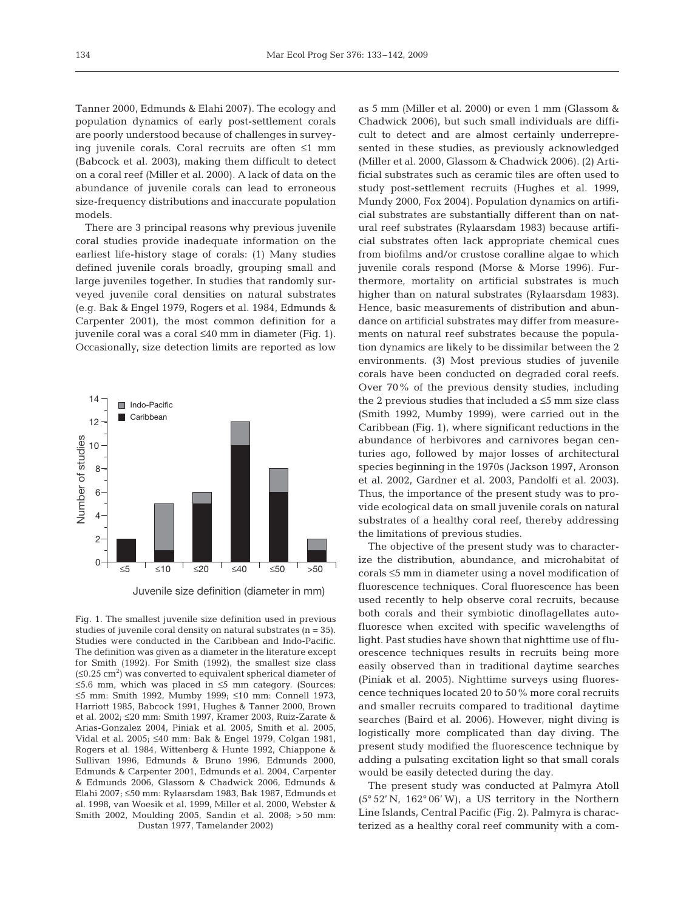Tanner 2000, Edmunds & Elahi 2007). The ecology and population dynamics of early post-settlement corals are poorly understood because of challenges in surveying juvenile corals. Coral recruits are often ≤1 mm (Babcock et al. 2003), making them difficult to detect on a coral reef (Miller et al. 2000). A lack of data on the abundance of juvenile corals can lead to erroneous size-frequency distributions and inaccurate population models.

There are 3 principal reasons why previous juvenile coral studies provide inadequate information on the earliest life-history stage of corals: (1) Many studies defined juvenile corals broadly, grouping small and large juveniles together. In studies that randomly surveyed juvenile coral densities on natural substrates (e.g. Bak & Engel 1979, Rogers et al. 1984, Edmunds & Carpenter 2001), the most common definition for a juvenile coral was a coral ≤40 mm in diameter (Fig. 1). Occasionally, size detection limits are reported as low





as 5 mm (Miller et al. 2000) or even 1 mm (Glassom & Chadwick 2006), but such small individuals are difficult to detect and are almost certainly underrepresented in these studies, as previously acknowledged (Miller et al. 2000, Glassom & Chadwick 2006). (2) Artificial substrates such as ceramic tiles are often used to study post-settlement recruits (Hughes et al. 1999, Mundy 2000, Fox 2004). Population dynamics on artificial substrates are substantially different than on natural reef substrates (Rylaarsdam 1983) because artificial substrates often lack appropriate chemical cues from biofilms and/or crustose coralline algae to which juvenile corals respond (Morse & Morse 1996). Furthermore, mortality on artificial substrates is much higher than on natural substrates (Rylaarsdam 1983). Hence, basic measurements of distribution and abundance on artificial substrates may differ from measurements on natural reef substrates because the population dynamics are likely to be dissimilar between the 2 environments. (3) Most previous studies of juvenile corals have been conducted on degraded coral reefs. Over 70% of the previous density studies, including the 2 previous studies that included a  $\leq$ 5 mm size class (Smith 1992, Mumby 1999), were carried out in the Caribbean (Fig. 1), where significant reductions in the abundance of herbivores and carnivores began centuries ago, followed by major losses of architectural species beginning in the 1970s (Jackson 1997, Aronson et al. 2002, Gardner et al. 2003, Pandolfi et al. 2003). Thus, the importance of the present study was to provide ecological data on small juvenile corals on natural substrates of a healthy coral reef, thereby addressing the limitations of previous studies.

The objective of the present study was to characterize the distribution, abundance, and microhabitat of corals ≤5 mm in diameter using a novel modification of fluorescence techniques. Coral fluorescence has been used recently to help observe coral recruits, because both corals and their symbiotic dinoflagellates autofluoresce when excited with specific wavelengths of light. Past studies have shown that nighttime use of fluorescence techniques results in recruits being more easily observed than in traditional daytime searches (Piniak et al. 2005). Nighttime surveys using fluorescence techniques located 20 to 50% more coral recruits and smaller recruits compared to traditional daytime searches (Baird et al. 2006). However, night diving is logistically more complicated than day diving. The present study modified the fluorescence technique by adding a pulsating excitation light so that small corals would be easily detected during the day.

The present study was conducted at Palmyra Atoll (5° 52' N, 162° 06' W), a US territory in the Northern Line Islands, Central Pacific (Fig. 2). Palmyra is characterized as a healthy coral reef community with a com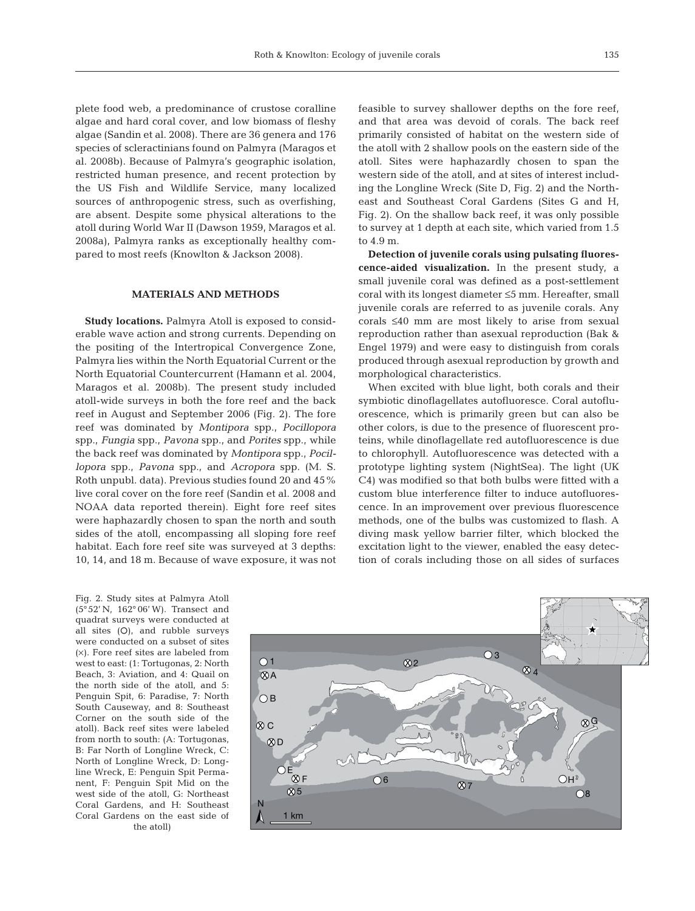plete food web, a predominance of crustose coralline algae and hard coral cover, and low biomass of fleshy algae (Sandin et al. 2008). There are 36 genera and 176 species of scleractinians found on Palmyra (Maragos et al. 2008b). Because of Palmyra's geographic isolation, restricted human presence, and recent protection by the US Fish and Wildlife Service, many localized sources of anthropogenic stress, such as overfishing, are absent. Despite some physical alterations to the atoll during World War II (Dawson 1959, Maragos et al. 2008a), Palmyra ranks as exceptionally healthy compared to most reefs (Knowlton & Jackson 2008).

## **MATERIALS AND METHODS**

**Study locations.** Palmyra Atoll is exposed to considerable wave action and strong currents. Depending on the positing of the Intertropical Convergence Zone, Palmyra lies within the North Equatorial Current or the North Equatorial Countercurrent (Hamann et al. 2004, Maragos et al. 2008b). The present study included atoll-wide surveys in both the fore reef and the back reef in August and September 2006 (Fig. 2). The fore reef was dominated by *Montipora* spp., *Pocillopora* spp., *Fungia* spp., *Pavona* spp., and *Porites* spp., while the back reef was dominated by *Montipora* spp., *Pocillopora* spp., *Pavona* spp., and *Acropora* spp. (M. S. Roth unpubl. data). Previous studies found 20 and 45% live coral cover on the fore reef (Sandin et al. 2008 and NOAA data reported therein). Eight fore reef sites were haphazardly chosen to span the north and south sides of the atoll, encompassing all sloping fore reef habitat. Each fore reef site was surveyed at 3 depths: 10, 14, and 18 m. Because of wave exposure, it was not

Fig. 2. Study sites at Palmyra Atoll (5°52' N, 162° 06' W). Transect and quadrat surveys were conducted at all sites  $(O)$ , and rubble surveys were conducted on a subset of sites (×). Fore reef sites are labeled from west to east: (1: Tortugonas, 2: North Beach, 3: Aviation, and 4: Quail on the north side of the atoll, and 5: Penguin Spit, 6: Paradise, 7: North South Causeway, and 8: Southeast Corner on the south side of the atoll). Back reef sites were labeled from north to south: (A: Tortugonas, B: Far North of Longline Wreck, C: North of Longline Wreck, D: Longline Wreck, E: Penguin Spit Permanent, F: Penguin Spit Mid on the west side of the atoll, G: Northeast Coral Gardens, and H: Southeast Coral Gardens on the east side of the atoll)

feasible to survey shallower depths on the fore reef, and that area was devoid of corals. The back reef primarily consisted of habitat on the western side of the atoll with 2 shallow pools on the eastern side of the atoll. Sites were haphazardly chosen to span the western side of the atoll, and at sites of interest including the Longline Wreck (Site D, Fig. 2) and the Northeast and Southeast Coral Gardens (Sites G and H, Fig. 2). On the shallow back reef, it was only possible to survey at 1 depth at each site, which varied from 1.5 to 4.9 m.

**Detection of juvenile corals using pulsating fluorescence-aided visualization.** In the present study, a small juvenile coral was defined as a post-settlement coral with its longest diameter ≤5 mm. Hereafter, small juvenile corals are referred to as juvenile corals. Any corals ≤40 mm are most likely to arise from sexual reproduction rather than asexual reproduction (Bak & Engel 1979) and were easy to distinguish from corals produced through asexual reproduction by growth and morphological characteristics.

When excited with blue light, both corals and their symbiotic dinoflagellates autofluoresce. Coral autofluorescence, which is primarily green but can also be other colors, is due to the presence of fluorescent proteins, while dinoflagellate red autofluorescence is due to chlorophyll. Autofluorescence was detected with a prototype lighting system (NightSea). The light (UK C4) was modified so that both bulbs were fitted with a custom blue interference filter to induce autofluorescence. In an improvement over previous fluorescence methods, one of the bulbs was customized to flash. A diving mask yellow barrier filter, which blocked the excitation light to the viewer, enabled the easy detection of corals including those on all sides of surfaces

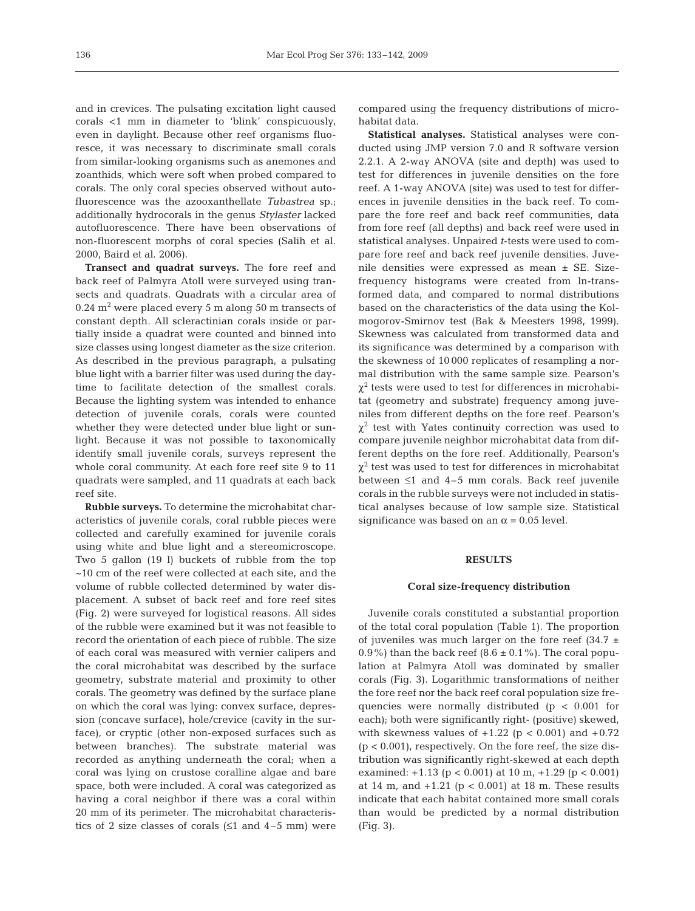and in crevices. The pulsating excitation light caused corals <1 mm in diameter to 'blink' conspicuously, even in daylight. Because other reef organisms fluoresce, it was necessary to discriminate small corals from similar-looking organisms such as anemones and zoanthids, which were soft when probed compared to corals. The only coral species observed without autofluorescence was the azooxanthellate *Tubastrea* sp.; additionally hydrocorals in the genus *Stylaster* lacked autofluorescence. There have been observations of non-fluorescent morphs of coral species (Salih et al. 2000, Baird et al. 2006).

**Transect and quadrat surveys.** The fore reef and back reef of Palmyra Atoll were surveyed using transects and quadrats. Quadrats with a circular area of  $0.24$  m<sup>2</sup> were placed every 5 m along 50 m transects of constant depth. All scleractinian corals inside or partially inside a quadrat were counted and binned into size classes using longest diameter as the size criterion. As described in the previous paragraph, a pulsating blue light with a barrier filter was used during the daytime to facilitate detection of the smallest corals. Because the lighting system was intended to enhance detection of juvenile corals, corals were counted whether they were detected under blue light or sunlight. Because it was not possible to taxonomically identify small juvenile corals, surveys represent the whole coral community. At each fore reef site 9 to 11 quadrats were sampled, and 11 quadrats at each back reef site.

**Rubble surveys.** To determine the microhabitat characteristics of juvenile corals, coral rubble pieces were collected and carefully examined for juvenile corals using white and blue light and a stereomicroscope. Two 5 gallon (19 l) buckets of rubble from the top ~10 cm of the reef were collected at each site, and the volume of rubble collected determined by water displacement. A subset of back reef and fore reef sites (Fig. 2) were surveyed for logistical reasons. All sides of the rubble were examined but it was not feasible to record the orientation of each piece of rubble. The size of each coral was measured with vernier calipers and the coral microhabitat was described by the surface geometry, substrate material and proximity to other corals. The geometry was defined by the surface plane on which the coral was lying: convex surface, depression (concave surface), hole/crevice (cavity in the surface), or cryptic (other non-exposed surfaces such as between branches). The substrate material was recorded as anything underneath the coral; when a coral was lying on crustose coralline algae and bare space, both were included. A coral was categorized as having a coral neighbor if there was a coral within 20 mm of its perimeter. The microhabitat characteristics of 2 size classes of corals  $(≤1$  and  $4-5$  mm) were

compared using the frequency distributions of microhabitat data.

**Statistical analyses.** Statistical analyses were conducted using JMP version 7.0 and R software version 2.2.1. A 2-way ANOVA (site and depth) was used to test for differences in juvenile densities on the fore reef. A 1-way ANOVA (site) was used to test for differences in juvenile densities in the back reef. To compare the fore reef and back reef communities, data from fore reef (all depths) and back reef were used in statistical analyses. Unpaired *t*-tests were used to compare fore reef and back reef juvenile densities. Juvenile densities were expressed as mean ± SE. Sizefrequency histograms were created from ln-transformed data, and compared to normal distributions based on the characteristics of the data using the Kolmogorov-Smirnov test (Bak & Meesters 1998, 1999). Skewness was calculated from transformed data and its significance was determined by a comparison with the skewness of 10 000 replicates of resampling a normal distribution with the same sample size. Pearson's  $\chi^2$  tests were used to test for differences in microhabitat (geometry and substrate) frequency among juveniles from different depths on the fore reef. Pearson's  $\chi^2$  test with Yates continuity correction was used to compare juvenile neighbor microhabitat data from different depths on the fore reef. Additionally, Pearson's  $\chi^2$  test was used to test for differences in microhabitat between ≤1 and 4–5 mm corals. Back reef juvenile corals in the rubble surveys were not included in statistical analyses because of low sample size. Statistical significance was based on an  $\alpha$  = 0.05 level.

## **RESULTS**

#### **Coral size-frequency distribution**

Juvenile corals constituted a substantial proportion of the total coral population (Table 1). The proportion of juveniles was much larger on the fore reef  $(34.7 \pm$ 0.9%) than the back reef  $(8.6 \pm 0.1\%)$ . The coral population at Palmyra Atoll was dominated by smaller corals (Fig. 3). Logarithmic transformations of neither the fore reef nor the back reef coral population size frequencies were normally distributed (p < 0.001 for each); both were significantly right- (positive) skewed, with skewness values of  $+1.22$  (p < 0.001) and  $+0.72$  $(p < 0.001)$ , respectively. On the fore reef, the size distribution was significantly right-skewed at each depth examined:  $+1.13$  (p < 0.001) at 10 m,  $+1.29$  (p < 0.001) at 14 m, and  $+1.21$  (p < 0.001) at 18 m. These results indicate that each habitat contained more small corals than would be predicted by a normal distribution (Fig. 3).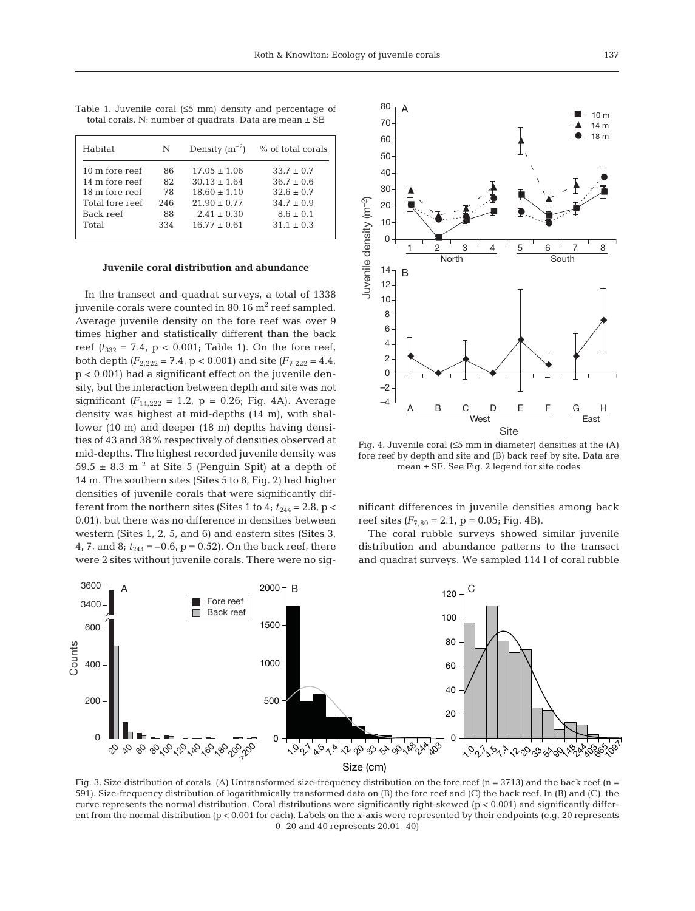| Habitat         | N   | Density $(m^{-2})$ | % of total corals |
|-----------------|-----|--------------------|-------------------|
| 10 m fore reef  | 86  | $17.05 + 1.06$     | $33.7 \pm 0.7$    |
| 14 m fore reef  | 82  | $30.13 \pm 1.64$   | $36.7 \pm 0.6$    |
| 18 m fore reef  | 78  | $18.60 \pm 1.10$   | $32.6 \pm 0.7$    |
| Total fore reef | 246 | $21.90 \pm 0.77$   | $34.7 + 0.9$      |
| Back reef       | 88  | $2.41 \pm 0.30$    | $8.6 \pm 0.1$     |
| Total           | 334 | $16.77 + 0.61$     | $31.1 + 0.3$      |
|                 |     |                    |                   |

Table 1. Juvenile coral (≤5 mm) density and percentage of total corals. N: number of quadrats. Data are mean ± SE

#### **Juvenile coral distribution and abundance**

In the transect and quadrat surveys, a total of 1338 juvenile corals were counted in  $80.16$  m<sup>2</sup> reef sampled. Average juvenile density on the fore reef was over 9 times higher and statistically different than the back reef  $(t_{332} = 7.4, p < 0.001$ ; Table 1). On the fore reef, both depth  $(F_{2,222} = 7.4, p < 0.001)$  and site  $(F_{7,222} = 4.4,$ p < 0.001) had a significant effect on the juvenile density, but the interaction between depth and site was not significant  $(F_{14,222} = 1.2, p = 0.26; Fig. 4A)$ . Average density was highest at mid-depths (14 m), with shallower (10 m) and deeper (18 m) depths having densities of 43 and 38% respectively of densities observed at mid-depths. The highest recorded juvenile density was 59.5  $\pm$  8.3 m<sup>-2</sup> at Site 5 (Penguin Spit) at a depth of 14 m. The southern sites (Sites 5 to 8, Fig. 2) had higher densities of juvenile corals that were significantly different from the northern sites (Sites 1 to 4;  $t_{244} = 2.8$ , p < 0.01), but there was no difference in densities between western (Sites 1, 2, 5, and 6) and eastern sites (Sites 3, 4, 7, and 8;  $t_{244} = -0.6$ , p = 0.52). On the back reef, there were 2 sites without juvenile corals. There were no sig-



Fig. 4. Juvenile coral (≤5 mm in diameter) densities at the (A) fore reef by depth and site and (B) back reef by site. Data are mean ± SE. See Fig. 2 legend for site codes

nificant differences in juvenile densities among back reef sites  $(F_{7,80} = 2.1, p = 0.05; Fig. 4B)$ .

The coral rubble surveys showed similar juvenile distribution and abundance patterns to the transect and quadrat surveys. We sampled 114 l of coral rubble



Fig. 3. Size distribution of corals. (A) Untransformed size-frequency distribution on the fore reef (n = 3713) and the back reef (n = 591). Size-frequency distribution of logarithmically transformed data on (B) the fore reef and (C) the back reef. In (B) and (C), the curve represents the normal distribution. Coral distributions were significantly right-skewed (p < 0.001) and significantly different from the normal distribution (p < 0.001 for each). Labels on the *x*-axis were represented by their endpoints (e.g. 20 represents 0–20 and 40 represents 20.01–40)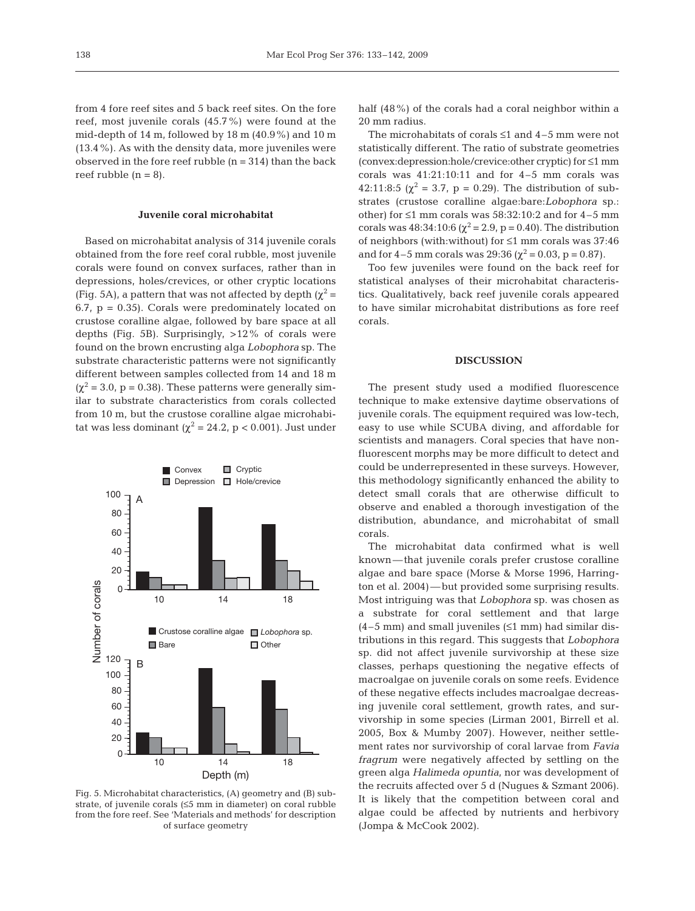from 4 fore reef sites and 5 back reef sites. On the fore reef, most juvenile corals (45.7%) were found at the mid-depth of 14 m, followed by 18 m (40.9%) and 10 m (13.4%). As with the density data, more juveniles were observed in the fore reef rubble  $(n = 314)$  than the back reef rubble  $(n = 8)$ .

#### **Juvenile coral microhabitat**

Based on microhabitat analysis of 314 juvenile corals obtained from the fore reef coral rubble, most juvenile corals were found on convex surfaces, rather than in depressions, holes/crevices, or other cryptic locations (Fig. 5A), a pattern that was not affected by depth ( $\chi^2$  =  $6.7$ ,  $p = 0.35$ ). Corals were predominately located on crustose coralline algae, followed by bare space at all depths (Fig. 5B). Surprisingly, >12% of corals were found on the brown encrusting alga *Lobophora* sp. The substrate characteristic patterns were not significantly different between samples collected from 14 and 18 m  $(\chi^2 = 3.0, p = 0.38)$ . These patterns were generally similar to substrate characteristics from corals collected from 10 m, but the crustose coralline algae microhabitat was less dominant ( $\chi^2$  = 24.2, p < 0.001). Just under



Fig. 5. Microhabitat characteristics, (A) geometry and (B) substrate, of juvenile corals (≤5 mm in diameter) on coral rubble from the fore reef. See 'Materials and methods' for description of surface geometry

half (48%) of the corals had a coral neighbor within a 20 mm radius.

The microhabitats of corals ≤1 and 4–5 mm were not statistically different. The ratio of substrate geometries (convex:depression:hole/crevice:other cryptic) for ≤1 mm corals was 41:21:10:11 and for 4–5 mm corals was 42:11:8:5 ( $\chi^2$  = 3.7, p = 0.29). The distribution of substrates (crustose coralline algae:bare:*Lobophora* sp.: other) for  $\leq 1$  mm corals was 58:32:10:2 and for 4-5 mm corals was  $48:34:10:6 \ (\chi^2 = 2.9, p = 0.40)$ . The distribution of neighbors (with:without) for ≤1 mm corals was 37:46 and for 4–5 mm corals was 29:36 ( $\chi^2$  = 0.03, p = 0.87).

Too few juveniles were found on the back reef for statistical analyses of their microhabitat characteristics. Qualitatively, back reef juvenile corals appeared to have similar microhabitat distributions as fore reef corals.

## **DISCUSSION**

The present study used a modified fluorescence technique to make extensive daytime observations of juvenile corals. The equipment required was low-tech, easy to use while SCUBA diving, and affordable for scientists and managers. Coral species that have nonfluorescent morphs may be more difficult to detect and could be underrepresented in these surveys. However, this methodology significantly enhanced the ability to detect small corals that are otherwise difficult to observe and enabled a thorough investigation of the distribution, abundance, and microhabitat of small corals.

The microhabitat data confirmed what is well known—that juvenile corals prefer crustose coralline algae and bare space (Morse & Morse 1996, Harrington et al. 2004)—but provided some surprising results. Most intriguing was that *Lobophora* sp. was chosen as a substrate for coral settlement and that large  $(4-5$  mm) and small juveniles  $(51$  mm) had similar distributions in this regard. This suggests that *Lobophora* sp. did not affect juvenile survivorship at these size classes, perhaps questioning the negative effects of macroalgae on juvenile corals on some reefs. Evidence of these negative effects includes macroalgae decreasing juvenile coral settlement, growth rates, and survivorship in some species (Lirman 2001, Birrell et al. 2005, Box & Mumby 2007). However, neither settlement rates nor survivorship of coral larvae from *Favia fragrum* were negatively affected by settling on the green alga *Halimeda opuntia*, nor was development of the recruits affected over 5 d (Nugues & Szmant 2006). It is likely that the competition between coral and algae could be affected by nutrients and herbivory (Jompa & McCook 2002).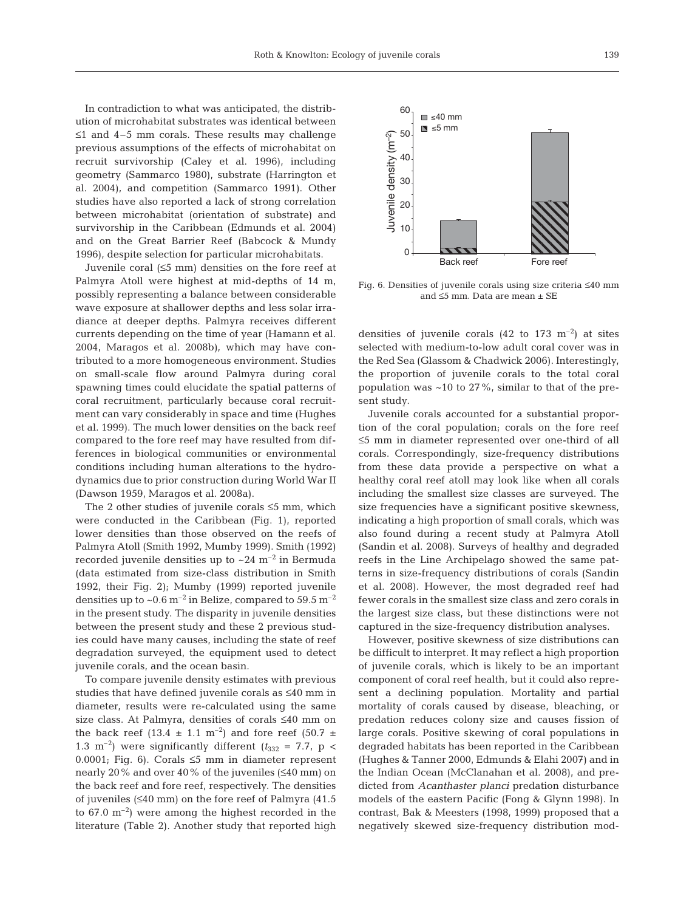In contradiction to what was anticipated, the distribution of microhabitat substrates was identical between  $\leq 1$  and 4–5 mm corals. These results may challenge previous assumptions of the effects of microhabitat on recruit survivorship (Caley et al. 1996), including geometry (Sammarco 1980), substrate (Harrington et al. 2004), and competition (Sammarco 1991). Other studies have also reported a lack of strong correlation between microhabitat (orientation of substrate) and survivorship in the Caribbean (Edmunds et al. 2004) and on the Great Barrier Reef (Babcock & Mundy 1996), despite selection for particular microhabitats.

Juvenile coral (≤5 mm) densities on the fore reef at Palmyra Atoll were highest at mid-depths of 14 m, possibly representing a balance between considerable wave exposure at shallower depths and less solar irradiance at deeper depths. Palmyra receives different currents depending on the time of year (Hamann et al. 2004, Maragos et al. 2008b), which may have contributed to a more homogeneous environment. Studies on small-scale flow around Palmyra during coral spawning times could elucidate the spatial patterns of coral recruitment, particularly because coral recruitment can vary considerably in space and time (Hughes et al. 1999). The much lower densities on the back reef compared to the fore reef may have resulted from differences in biological communities or environmental conditions including human alterations to the hydrodynamics due to prior construction during World War II (Dawson 1959, Maragos et al. 2008a).

The 2 other studies of juvenile corals ≤5 mm, which were conducted in the Caribbean (Fig. 1), reported lower densities than those observed on the reefs of Palmyra Atoll (Smith 1992, Mumby 1999). Smith (1992) recorded juvenile densities up to  $\sim$  24 m<sup>-2</sup> in Bermuda (data estimated from size-class distribution in Smith 1992, their Fig. 2); Mumby (1999) reported juvenile densities up to ~0.6  $\text{m}^{-2}$  in Belize, compared to 59.5  $\text{m}^{-2}$ in the present study. The disparity in juvenile densities between the present study and these 2 previous studies could have many causes, including the state of reef degradation surveyed, the equipment used to detect juvenile corals, and the ocean basin.

To compare juvenile density estimates with previous studies that have defined juvenile corals as ≤40 mm in diameter, results were re-calculated using the same size class. At Palmyra, densities of corals ≤40 mm on the back reef (13.4  $\pm$  1.1 m<sup>-2</sup>) and fore reef (50.7  $\pm$ 1.3 m<sup>-2</sup>) were significantly different ( $t_{332}$  = 7.7, p < 0.0001; Fig. 6). Corals  $\leq$ 5 mm in diameter represent nearly 20% and over 40% of the juveniles (≤40 mm) on the back reef and fore reef, respectively. The densities of juveniles (≤40 mm) on the fore reef of Palmyra (41.5 to  $67.0 \text{ m}^{-2}$ ) were among the highest recorded in the literature (Table 2). Another study that reported high



Fig. 6. Densities of juvenile corals using size criteria ≤40 mm and ≤5 mm. Data are mean ± SE

densities of juvenile corals  $(42 \text{ to } 173 \text{ m}^{-2})$  at sites selected with medium-to-low adult coral cover was in the Red Sea (Glassom & Chadwick 2006). Interestingly, the proportion of juvenile corals to the total coral population was ~10 to 27%, similar to that of the present study.

Juvenile corals accounted for a substantial proportion of the coral population; corals on the fore reef ≤5 mm in diameter represented over one-third of all corals. Correspondingly, size-frequency distributions from these data provide a perspective on what a healthy coral reef atoll may look like when all corals including the smallest size classes are surveyed. The size frequencies have a significant positive skewness, indicating a high proportion of small corals, which was also found during a recent study at Palmyra Atoll (Sandin et al. 2008). Surveys of healthy and degraded reefs in the Line Archipelago showed the same patterns in size-frequency distributions of corals (Sandin et al. 2008). However, the most degraded reef had fewer corals in the smallest size class and zero corals in the largest size class, but these distinctions were not captured in the size-frequency distribution analyses.

However, positive skewness of size distributions can be difficult to interpret. It may reflect a high proportion of juvenile corals, which is likely to be an important component of coral reef health, but it could also represent a declining population. Mortality and partial mortality of corals caused by disease, bleaching, or predation reduces colony size and causes fission of large corals. Positive skewing of coral populations in degraded habitats has been reported in the Caribbean (Hughes & Tanner 2000, Edmunds & Elahi 2007) and in the Indian Ocean (McClanahan et al. 2008), and predicted from *Acanthaster planci* predation disturbance models of the eastern Pacific (Fong & Glynn 1998). In contrast, Bak & Meesters (1998, 1999) proposed that a negatively skewed size-frequency distribution mod-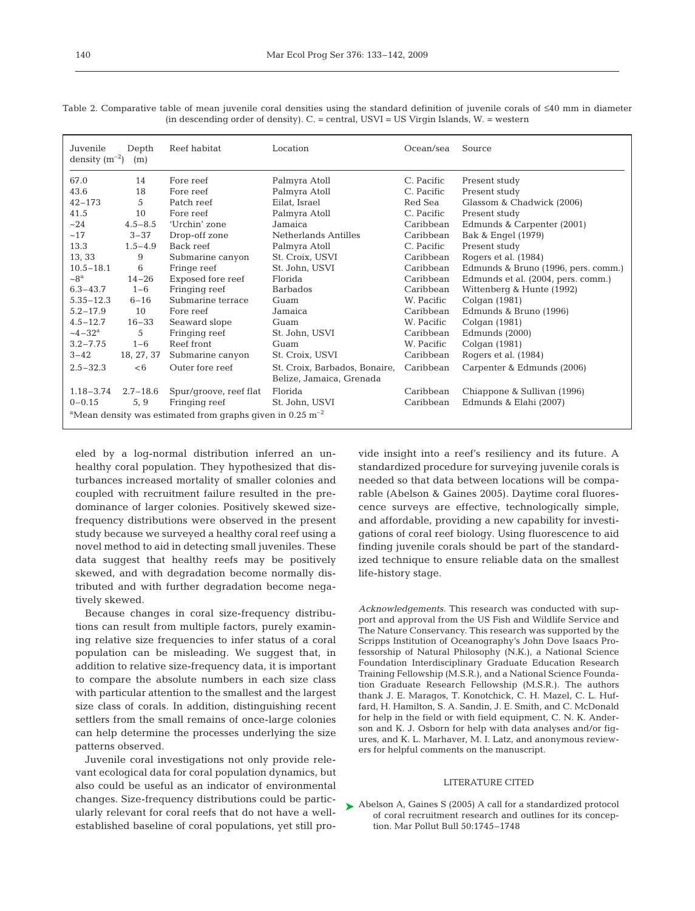| Juvenile<br>density $(m^{-2})$                                                     | Depth<br>(m) | Reef habitat           | Location                                                  | Ocean/sea  | Source                              |  |  |
|------------------------------------------------------------------------------------|--------------|------------------------|-----------------------------------------------------------|------------|-------------------------------------|--|--|
| 67.0                                                                               | 14           | Fore reef              | Palmyra Atoll                                             | C. Pacific | Present study                       |  |  |
| 43.6                                                                               | 18           | Fore reef              | Palmyra Atoll                                             | C. Pacific | Present study                       |  |  |
| $42 - 173$                                                                         | 5            | Patch reef             | Eilat, Israel                                             | Red Sea    | Glassom & Chadwick (2006)           |  |  |
| 41.5                                                                               | 10           | Fore reef              | Palmyra Atoll                                             | C. Pacific | Present study                       |  |  |
| ~24                                                                                | $4.5 - 8.5$  | 'Urchin' zone          | Jamaica                                                   | Caribbean  | Edmunds & Carpenter (2001)          |  |  |
| ~17                                                                                | $3 - 37$     | Drop-off zone          | Netherlands Antilles                                      | Caribbean  | Bak & Engel (1979)                  |  |  |
| 13.3                                                                               | $1.5 - 4.9$  | Back reef              | Palmyra Atoll                                             | C. Pacific | Present study                       |  |  |
| 13, 33                                                                             | 9            | Submarine canyon       | St. Croix, USVI                                           | Caribbean  | Rogers et al. (1984)                |  |  |
| $10.5 - 18.1$                                                                      | 6            | Fringe reef            | St. John, USVI                                            | Caribbean  | Edmunds & Bruno (1996, pers. comm.) |  |  |
| $\sim 8^a$                                                                         | $14 - 26$    | Exposed fore reef      | Florida                                                   | Caribbean  | Edmunds et al. (2004, pers. comm.)  |  |  |
| $6.3 - 43.7$                                                                       | $1 - 6$      | Fringing reef          | <b>Barbados</b>                                           | Caribbean  | Wittenberg & Hunte (1992)           |  |  |
| $5.35 - 12.3$                                                                      | $6 - 16$     | Submarine terrace      | Guam                                                      | W. Pacific | Colgan (1981)                       |  |  |
| $5.2 - 17.9$                                                                       | 10           | Fore reef              | Jamaica                                                   | Caribbean  | Edmunds & Bruno (1996)              |  |  |
| $4.5 - 12.7$                                                                       | $16 - 33$    | Seaward slope          | Guam                                                      | W. Pacific | Colgan (1981)                       |  |  |
| $-4-32^{\rm a}$                                                                    | 5            | Fringing reef          | St. John, USVI                                            | Caribbean  | Edmunds (2000)                      |  |  |
| $3.2 - 7.75$                                                                       | $1 - 6$      | Reef front             | Guam                                                      | W. Pacific | Colgan (1981)                       |  |  |
| $3 - 42$                                                                           | 18, 27, 37   | Submarine canyon       | St. Croix, USVI                                           | Caribbean  | Rogers et al. (1984)                |  |  |
| $2.5 - 32.3$                                                                       | <6           | Outer fore reef        | St. Croix, Barbados, Bonaire,<br>Belize, Jamaica, Grenada | Caribbean  | Carpenter & Edmunds (2006)          |  |  |
| $1.18 - 3.74$                                                                      | $2.7 - 18.6$ | Spur/groove, reef flat | Florida                                                   | Caribbean  | Chiappone & Sullivan (1996)         |  |  |
| $0 - 0.15$                                                                         | 5, 9         | Fringing reef          | St. John, USVI                                            | Caribbean  | Edmunds & Elahi (2007)              |  |  |
| <sup>a</sup> Mean density was estimated from graphs given in $0.25 \text{ m}^{-2}$ |              |                        |                                                           |            |                                     |  |  |

Table 2. Comparative table of mean juvenile coral densities using the standard definition of juvenile corals of ≤40 mm in diameter (in descending order of density). C. = central, USVI = US Virgin Islands, W. = western

eled by a log-normal distribution inferred an unhealthy coral population. They hypothesized that disturbances increased mortality of smaller colonies and coupled with recruitment failure resulted in the predominance of larger colonies. Positively skewed sizefrequency distributions were observed in the present study because we surveyed a healthy coral reef using a novel method to aid in detecting small juveniles. These data suggest that healthy reefs may be positively skewed, and with degradation become normally distributed and with further degradation become negatively skewed.

Because changes in coral size-frequency distributions can result from multiple factors, purely examining relative size frequencies to infer status of a coral population can be misleading. We suggest that, in addition to relative size-frequency data, it is important to compare the absolute numbers in each size class with particular attention to the smallest and the largest size class of corals. In addition, distinguishing recent settlers from the small remains of once-large colonies can help determine the processes underlying the size patterns observed.

Juvenile coral investigations not only provide relevant ecological data for coral population dynamics, but also could be useful as an indicator of environmental changes. Size-frequency distributions could be particularly relevant for coral reefs that do not have a wellestablished baseline of coral populations, yet still provide insight into a reef's resiliency and its future. A standardized procedure for surveying juvenile corals is needed so that data between locations will be comparable (Abelson & Gaines 2005). Daytime coral fluorescence surveys are effective, technologically simple, and affordable, providing a new capability for investigations of coral reef biology. Using fluorescence to aid finding juvenile corals should be part of the standardized technique to ensure reliable data on the smallest life-history stage.

*Acknowledgements.* This research was conducted with support and approval from the US Fish and Wildlife Service and The Nature Conservancy. This research was supported by the Scripps Institution of Oceanography's John Dove Isaacs Professorship of Natural Philosophy (N.K.), a National Science Foundation Interdisciplinary Graduate Education Research Training Fellowship (M.S.R.), and a National Science Foundation Graduate Research Fellowship (M.S.R.). The authors thank J. E. Maragos, T. Konotchick, C. H. Mazel, C. L. Huffard, H. Hamilton, S. A. Sandin, J. E. Smith, and C. McDonald for help in the field or with field equipment, C. N. K. Anderson and K. J. Osborn for help with data analyses and/or figures, and K. L. Marhaver, M. I. Latz, and anonymous reviewers for helpful comments on the manuscript.

#### LITERATURE CITED

▶ Abelson A, Gaines S (2005) A call for a standardized protocol of coral recruitment research and outlines for its conception. Mar Pollut Bull 50:1745–1748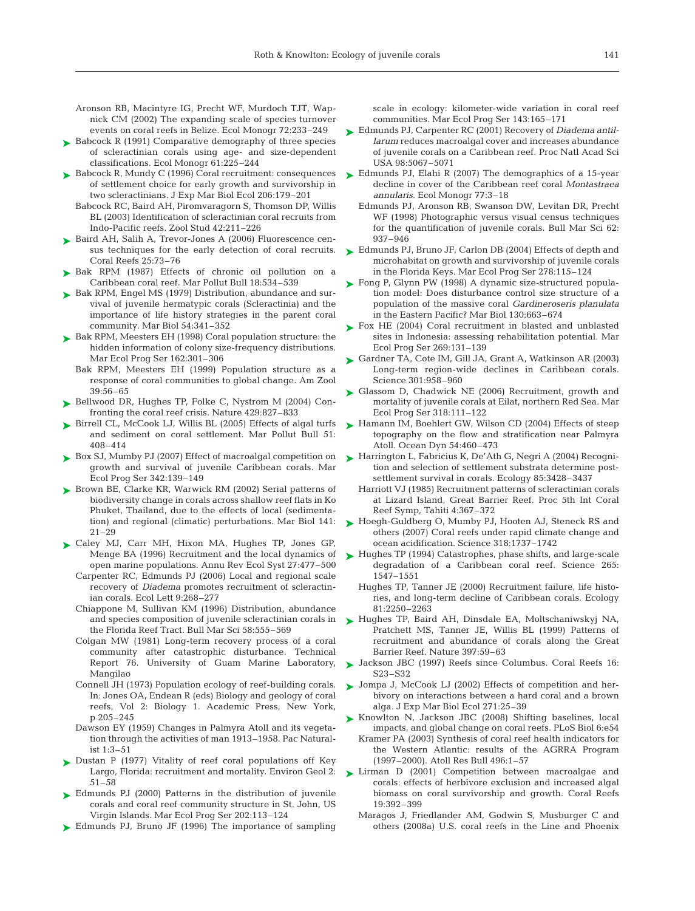Aronson RB, Macintyre IG, Precht WF, Murdoch TJT, Wapnick CM (2002) The expanding scale of species turnover events on coral reefs in Belize. Ecol Monogr 72:233–249

- ► Babcock R (1991) Comparative demography of three species of scleractinian corals using age- and size-dependent classifications. Ecol Monogr 61:225–244
- ► Babcock R, Mundy C (1996) Coral recruitment: consequences of settlement choice for early growth and survivorship in two scleractinians. J Exp Mar Biol Ecol 206:179–201
	- Babcock RC, Baird AH, Piromvaragorn S, Thomson DP, Willis BL (2003) Identification of scleractinian coral recruits from Indo-Pacific reefs. Zool Stud 42:211–226
- ▶ Baird AH, Salih A, Trevor-Jones A (2006) Fluorescence census techniques for the early detection of coral recruits. Coral Reefs 25:73–76
- $\blacktriangleright$  Bak RPM (1987) Effects of chronic oil pollution on a Caribbean coral reef. Mar Pollut Bull 18:534–539
- ► Bak RPM, Engel MS (1979) Distribution, abundance and survival of juvenile hermatypic corals (Scleractinia) and the importance of life history strategies in the parent coral community. Mar Biol 54:341–352
- ► Bak RPM, Meesters EH (1998) Coral population structure: the hidden information of colony size-frequency distributions. Mar Ecol Prog Ser 162:301–306
	- Bak RPM, Meesters EH (1999) Population structure as a response of coral communities to global change. Am Zool 39:56–65
- ▶ Bellwood DR, Hughes TP, Folke C, Nystrom M (2004) Confronting the coral reef crisis. Nature 429:827–833
- ▶ Birrell CL, McCook LJ, Willis BL (2005) Effects of algal turfs and sediment on coral settlement. Mar Pollut Bull 51: 408–414
- ► Box SJ, Mumby PJ (2007) Effect of macroalgal competition on growth and survival of juvenile Caribbean corals. Mar Ecol Prog Ser 342:139–149
- ▶ Brown BE, Clarke KR, Warwick RM (2002) Serial patterns of biodiversity change in corals across shallow reef flats in Ko Phuket, Thailand, due to the effects of local (sedimentation) and regional (climatic) perturbations. Mar Biol 141:  $21 - 29$
- ► Caley MJ, Carr MH, Hixon MA, Hughes TP, Jones GP, Menge BA (1996) Recruitment and the local dynamics of open marine populations. Annu Rev Ecol Syst 27:477–500
	- Carpenter RC, Edmunds PJ (2006) Local and regional scale recovery of *Diadema* promotes recruitment of scleractinian corals. Ecol Lett 9:268–277
	- Chiappone M, Sullivan KM (1996) Distribution, abundance and species composition of juvenile scleractinian corals in the Florida Reef Tract. Bull Mar Sci 58:555–569
	- Colgan MW (1981) Long-term recovery process of a coral community after catastrophic disturbance. Technical Report 76. University of Guam Marine Laboratory, Mangilao
	- Connell JH (1973) Population ecology of reef-building corals. In: Jones OA, Endean R (eds) Biology and geology of coral reefs, Vol 2: Biology 1. Academic Press, New York, p 205–245
	- Dawson EY (1959) Changes in Palmyra Atoll and its vegetation through the activities of man 1913–1958. Pac Naturalist 1:3–51
- ► Dustan P (1977) Vitality of reef coral populations off Key Largo, Florida: recruitment and mortality. Environ Geol 2: 51–58
- ► Edmunds PJ (2000) Patterns in the distribution of juvenile corals and coral reef community structure in St. John, US Virgin Islands. Mar Ecol Prog Ser 202:113–124
- ► Edmunds PJ, Bruno JF (1996) The importance of sampling

scale in ecology: kilometer-wide variation in coral reef communities. Mar Ecol Prog Ser 143:165–171

- Edmunds PJ, Carpenter RC (2001) Recovery of *Diadema antil-*➤ *larum* reduces macroalgal cover and increases abundance of juvenile corals on a Caribbean reef. Proc Natl Acad Sci USA 98:5067–5071
- ► Edmunds PJ, Elahi R (2007) The demographics of a 15-year decline in cover of the Caribbean reef coral *Montastraea annularis.* Ecol Monogr 77:3–18
	- Edmunds PJ, Aronson RB, Swanson DW, Levitan DR, Precht WF (1998) Photographic versus visual census techniques for the quantification of juvenile corals. Bull Mar Sci 62: 937–946
- ► Edmunds PJ, Bruno JF, Carlon DB (2004) Effects of depth and microhabitat on growth and survivorship of juvenile corals in the Florida Keys. Mar Ecol Prog Ser 278:115–124
- ► Fong P, Glynn PW (1998) A dynamic size-structured population model: Does disturbance control size structure of a population of the massive coral *Gardineroseris planulata* in the Eastern Pacific? Mar Biol 130:663–674
- ► Fox HE (2004) Coral recruitment in blasted and unblasted sites in Indonesia: assessing rehabilitation potential. Mar Ecol Prog Ser 269:131–139
- ► Gardner TA, Cote IM, Gill JA, Grant A, Watkinson AR (2003) Long-term region-wide declines in Caribbean corals. Science 301:958–960
- ► Glassom D, Chadwick NE (2006) Recruitment, growth and mortality of juvenile corals at Eilat, northern Red Sea. Mar Ecol Prog Ser 318:111–122
- ► Hamann IM, Boehlert GW, Wilson CD (2004) Effects of steep topography on the flow and stratification near Palmyra Atoll. Ocean Dyn 54:460–473
- ► Harrington L, Fabricius K, De'Ath G, Negri A (2004) Recogni tion and selection of settlement substrata determine postsettlement survival in corals. Ecology 85:3428–3437
	- Harriott VJ (1985) Recruitment patterns of scleractinian corals at Lizard Island, Great Barrier Reef. Proc 5th Int Coral Reef Symp, Tahiti 4:367–372
- ► Hoegh-Guldberg O, Mumby PJ, Hooten AJ, Steneck RS and others (2007) Coral reefs under rapid climate change and ocean acidification. Science 318:1737–1742
- ► Hughes TP (1994) Catastrophes, phase shifts, and large-scale degradation of a Caribbean coral reef. Science 265: 1547–1551
	- Hughes TP, Tanner JE (2000) Recruitment failure, life histories, and long-term decline of Caribbean corals. Ecology 81:2250–2263
- ▶ Hughes TP, Baird AH, Dinsdale EA, Moltschaniwskyj NA, Pratchett MS, Tanner JE, Willis BL (1999) Patterns of recruitment and abundance of corals along the Great Barrier Reef. Nature 397:59–63
- Jackson JBC (1997) Reefs since Columbus. Coral Reefs 16: ➤ S23–S32
- ▶ Jompa J, McCook LJ (2002) Effects of competition and herbivory on interactions between a hard coral and a brown alga. J Exp Mar Biol Ecol 271:25–39
- ► Knowlton N, Jackson JBC (2008) Shifting baselines, local impacts, and global change on coral reefs. PLoS Biol 6:e54
	- Kramer PA (2003) Synthesis of coral reef health indicators for the Western Atlantic: results of the AGRRA Program (1997–2000). Atoll Res Bull 496:1–57
- ► Lirman D (2001) Competition between macroalgae and corals: effects of herbivore exclusion and increased algal biomass on coral survivorship and growth. Coral Reefs 19:392–399
	- Maragos J, Friedlander AM, Godwin S, Musburger C and others (2008a) U.S. coral reefs in the Line and Phoenix